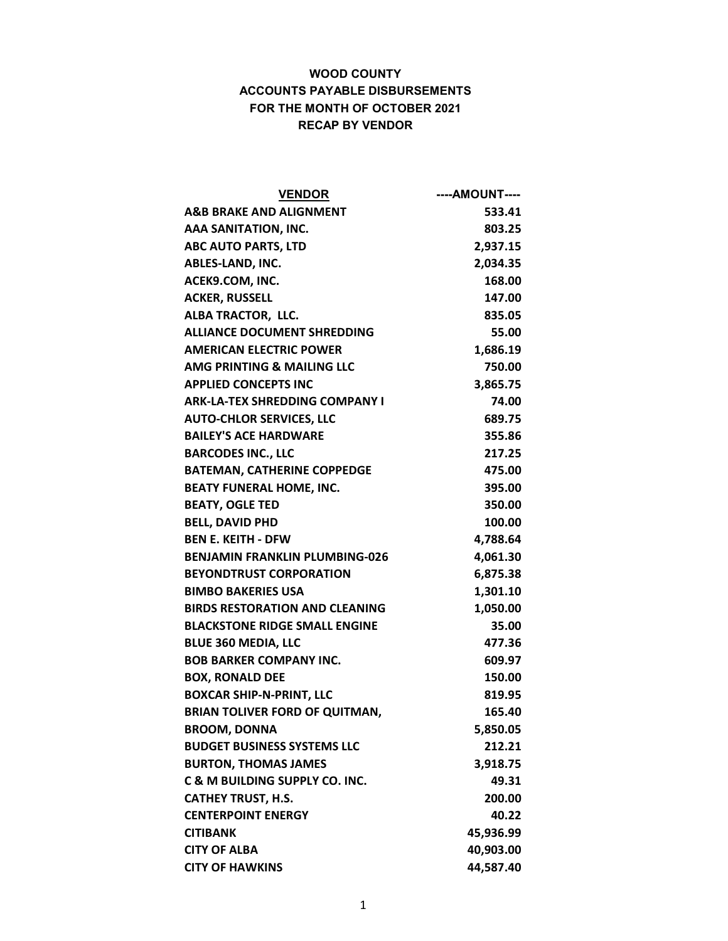| <b>VENDOR</b>                             | ----AMOUNT---- |
|-------------------------------------------|----------------|
| <b>A&amp;B BRAKE AND ALIGNMENT</b>        | 533.41         |
| AAA SANITATION, INC.                      | 803.25         |
| <b>ABC AUTO PARTS, LTD</b>                | 2,937.15       |
| ABLES-LAND, INC.                          | 2,034.35       |
| ACEK9.COM, INC.                           | 168.00         |
| <b>ACKER, RUSSELL</b>                     | 147.00         |
| ALBA TRACTOR, LLC.                        | 835.05         |
| <b>ALLIANCE DOCUMENT SHREDDING</b>        | 55.00          |
| <b>AMERICAN ELECTRIC POWER</b>            | 1,686.19       |
| AMG PRINTING & MAILING LLC                | 750.00         |
| <b>APPLIED CONCEPTS INC</b>               | 3,865.75       |
| <b>ARK-LA-TEX SHREDDING COMPANY I</b>     | 74.00          |
| <b>AUTO-CHLOR SERVICES, LLC</b>           | 689.75         |
| <b>BAILEY'S ACE HARDWARE</b>              | 355.86         |
| <b>BARCODES INC., LLC</b>                 | 217.25         |
| <b>BATEMAN, CATHERINE COPPEDGE</b>        | 475.00         |
| <b>BEATY FUNERAL HOME, INC.</b>           | 395.00         |
| <b>BEATY, OGLE TED</b>                    | 350.00         |
| <b>BELL, DAVID PHD</b>                    | 100.00         |
| <b>BEN E. KEITH - DFW</b>                 | 4,788.64       |
| <b>BENJAMIN FRANKLIN PLUMBING-026</b>     | 4,061.30       |
| <b>BEYONDTRUST CORPORATION</b>            | 6,875.38       |
| <b>BIMBO BAKERIES USA</b>                 | 1,301.10       |
| <b>BIRDS RESTORATION AND CLEANING</b>     | 1,050.00       |
| <b>BLACKSTONE RIDGE SMALL ENGINE</b>      | 35.00          |
| <b>BLUE 360 MEDIA, LLC</b>                | 477.36         |
| <b>BOB BARKER COMPANY INC.</b>            | 609.97         |
| <b>BOX, RONALD DEE</b>                    | 150.00         |
| <b>BOXCAR SHIP-N-PRINT, LLC</b>           | 819.95         |
| <b>BRIAN TOLIVER FORD OF QUITMAN,</b>     | 165.40         |
| <b>BROOM, DONNA</b>                       | 5,850.05       |
| <b>BUDGET BUSINESS SYSTEMS LLC</b>        | 212.21         |
| <b>BURTON, THOMAS JAMES</b>               | 3,918.75       |
| <b>C &amp; M BUILDING SUPPLY CO. INC.</b> | 49.31          |
| <b>CATHEY TRUST, H.S.</b>                 | 200.00         |
| <b>CENTERPOINT ENERGY</b>                 | 40.22          |
| <b>CITIBANK</b>                           | 45,936.99      |
| <b>CITY OF ALBA</b>                       | 40,903.00      |
| <b>CITY OF HAWKINS</b>                    | 44,587.40      |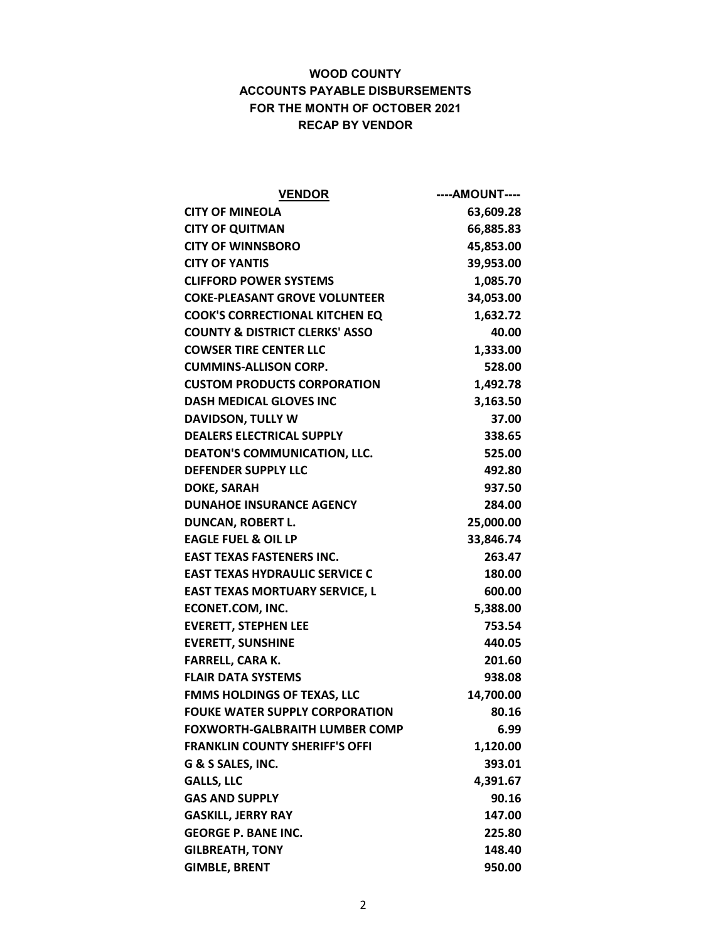| <b>VENDOR</b>                             | ----AMOUNT---- |
|-------------------------------------------|----------------|
| <b>CITY OF MINEOLA</b>                    | 63,609.28      |
| <b>CITY OF QUITMAN</b>                    | 66,885.83      |
| <b>CITY OF WINNSBORO</b>                  | 45,853.00      |
| <b>CITY OF YANTIS</b>                     | 39,953.00      |
| <b>CLIFFORD POWER SYSTEMS</b>             | 1,085.70       |
| <b>COKE-PLEASANT GROVE VOLUNTEER</b>      | 34,053.00      |
| <b>COOK'S CORRECTIONAL KITCHEN EQ</b>     | 1,632.72       |
| <b>COUNTY &amp; DISTRICT CLERKS' ASSO</b> | 40.00          |
| <b>COWSER TIRE CENTER LLC</b>             | 1,333.00       |
| <b>CUMMINS-ALLISON CORP.</b>              | 528.00         |
| <b>CUSTOM PRODUCTS CORPORATION</b>        | 1,492.78       |
| <b>DASH MEDICAL GLOVES INC</b>            | 3,163.50       |
| DAVIDSON, TULLY W                         | 37.00          |
| <b>DEALERS ELECTRICAL SUPPLY</b>          | 338.65         |
| <b>DEATON'S COMMUNICATION, LLC.</b>       | 525.00         |
| <b>DEFENDER SUPPLY LLC</b>                | 492.80         |
| <b>DOKE, SARAH</b>                        | 937.50         |
| <b>DUNAHOE INSURANCE AGENCY</b>           | 284.00         |
| <b>DUNCAN, ROBERT L.</b>                  | 25,000.00      |
| <b>EAGLE FUEL &amp; OIL LP</b>            | 33,846.74      |
| <b>EAST TEXAS FASTENERS INC.</b>          | 263.47         |
| <b>EAST TEXAS HYDRAULIC SERVICE C</b>     | 180.00         |
| <b>EAST TEXAS MORTUARY SERVICE, L</b>     | 600.00         |
| <b>ECONET.COM, INC.</b>                   | 5,388.00       |
| <b>EVERETT, STEPHEN LEE</b>               | 753.54         |
| <b>EVERETT, SUNSHINE</b>                  | 440.05         |
| <b>FARRELL, CARA K.</b>                   | 201.60         |
| <b>FLAIR DATA SYSTEMS</b>                 | 938.08         |
| <b>FMMS HOLDINGS OF TEXAS, LLC</b>        | 14,700.00      |
| <b>FOUKE WATER SUPPLY CORPORATION</b>     | 80.16          |
| <b>FOXWORTH-GALBRAITH LUMBER COMP</b>     | 6.99           |
| <b>FRANKLIN COUNTY SHERIFF'S OFFI</b>     | 1,120.00       |
| G & S SALES, INC.                         | 393.01         |
| <b>GALLS, LLC</b>                         | 4,391.67       |
| <b>GAS AND SUPPLY</b>                     | 90.16          |
| <b>GASKILL, JERRY RAY</b>                 | 147.00         |
| <b>GEORGE P. BANE INC.</b>                | 225.80         |
| <b>GILBREATH, TONY</b>                    | 148.40         |
| <b>GIMBLE, BRENT</b>                      | 950.00         |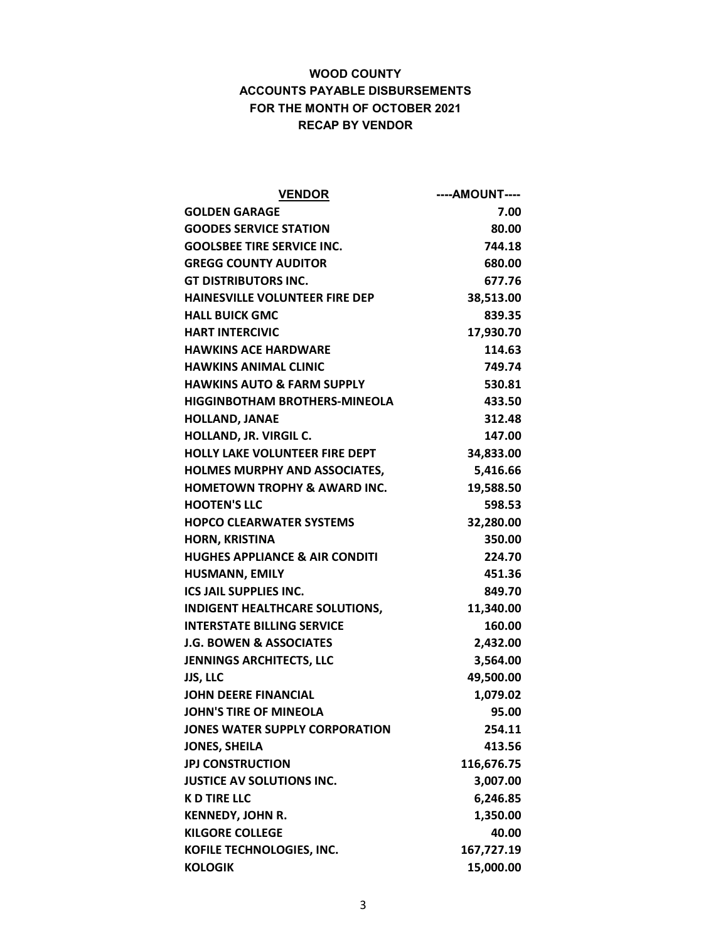| <b>VENDOR</b>                             | ----AMOUNT---- |
|-------------------------------------------|----------------|
| <b>GOLDEN GARAGE</b>                      | 7.00           |
| <b>GOODES SERVICE STATION</b>             | 80.00          |
| <b>GOOLSBEE TIRE SERVICE INC.</b>         | 744.18         |
| <b>GREGG COUNTY AUDITOR</b>               | 680.00         |
| <b>GT DISTRIBUTORS INC.</b>               | 677.76         |
| <b>HAINESVILLE VOLUNTEER FIRE DEP</b>     | 38,513.00      |
| <b>HALL BUICK GMC</b>                     | 839.35         |
| <b>HART INTERCIVIC</b>                    | 17,930.70      |
| <b>HAWKINS ACE HARDWARE</b>               | 114.63         |
| <b>HAWKINS ANIMAL CLINIC</b>              | 749.74         |
| <b>HAWKINS AUTO &amp; FARM SUPPLY</b>     | 530.81         |
| <b>HIGGINBOTHAM BROTHERS-MINEOLA</b>      | 433.50         |
| <b>HOLLAND, JANAE</b>                     | 312.48         |
| HOLLAND, JR. VIRGIL C.                    | 147.00         |
| <b>HOLLY LAKE VOLUNTEER FIRE DEPT</b>     | 34,833.00      |
| <b>HOLMES MURPHY AND ASSOCIATES,</b>      | 5,416.66       |
| <b>HOMETOWN TROPHY &amp; AWARD INC.</b>   | 19,588.50      |
| <b>HOOTEN'S LLC</b>                       | 598.53         |
| <b>HOPCO CLEARWATER SYSTEMS</b>           | 32,280.00      |
| <b>HORN, KRISTINA</b>                     | 350.00         |
| <b>HUGHES APPLIANCE &amp; AIR CONDITI</b> | 224.70         |
| <b>HUSMANN, EMILY</b>                     | 451.36         |
| <b>ICS JAIL SUPPLIES INC.</b>             | 849.70         |
| <b>INDIGENT HEALTHCARE SOLUTIONS,</b>     | 11,340.00      |
| <b>INTERSTATE BILLING SERVICE</b>         | 160.00         |
| J.G. BOWEN & ASSOCIATES                   | 2,432.00       |
| <b>JENNINGS ARCHITECTS, LLC</b>           | 3,564.00       |
| <b>JJS, LLC</b>                           | 49,500.00      |
| <b>JOHN DEERE FINANCIAL</b>               | 1,079.02       |
| <b>JOHN'S TIRE OF MINEOLA</b>             | 95.00          |
| JONES WATER SUPPLY CORPORATION            | 254.11         |
| <b>JONES, SHEILA</b>                      | 413.56         |
| <b>JPJ CONSTRUCTION</b>                   | 116,676.75     |
| <b>JUSTICE AV SOLUTIONS INC.</b>          | 3,007.00       |
| <b>K D TIRE LLC</b>                       | 6,246.85       |
| <b>KENNEDY, JOHN R.</b>                   | 1,350.00       |
| <b>KILGORE COLLEGE</b>                    | 40.00          |
| KOFILE TECHNOLOGIES, INC.                 | 167,727.19     |
| <b>KOLOGIK</b>                            | 15,000.00      |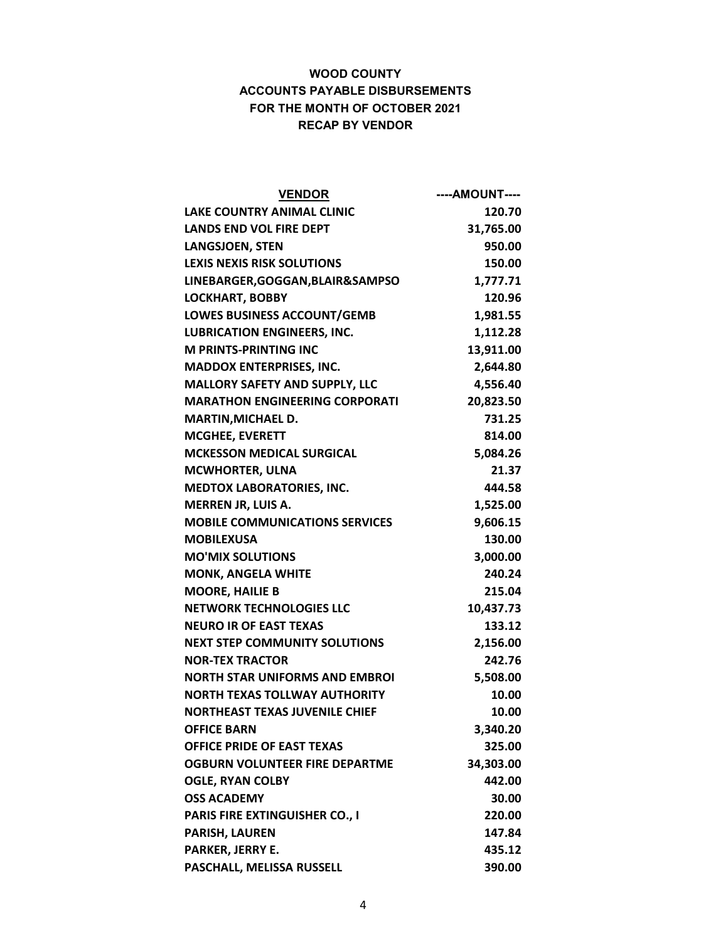| <b>VENDOR</b>                         | ----AMOUNT---- |
|---------------------------------------|----------------|
| <b>LAKE COUNTRY ANIMAL CLINIC</b>     | 120.70         |
| <b>LANDS END VOL FIRE DEPT</b>        | 31,765.00      |
| <b>LANGSJOEN, STEN</b>                | 950.00         |
| <b>LEXIS NEXIS RISK SOLUTIONS</b>     | 150.00         |
| LINEBARGER, GOGGAN, BLAIR&SAMPSO      | 1,777.71       |
| <b>LOCKHART, BOBBY</b>                | 120.96         |
| <b>LOWES BUSINESS ACCOUNT/GEMB</b>    | 1,981.55       |
| <b>LUBRICATION ENGINEERS, INC.</b>    | 1,112.28       |
| <b>M PRINTS-PRINTING INC</b>          | 13,911.00      |
| <b>MADDOX ENTERPRISES, INC.</b>       | 2,644.80       |
| MALLORY SAFETY AND SUPPLY, LLC        | 4,556.40       |
| <b>MARATHON ENGINEERING CORPORATI</b> | 20,823.50      |
| <b>MARTIN, MICHAEL D.</b>             | 731.25         |
| <b>MCGHEE, EVERETT</b>                | 814.00         |
| <b>MCKESSON MEDICAL SURGICAL</b>      | 5,084.26       |
| <b>MCWHORTER, ULNA</b>                | 21.37          |
| <b>MEDTOX LABORATORIES, INC.</b>      | 444.58         |
| <b>MERREN JR, LUIS A.</b>             | 1,525.00       |
| <b>MOBILE COMMUNICATIONS SERVICES</b> | 9,606.15       |
| <b>MOBILEXUSA</b>                     | 130.00         |
| <b>MO'MIX SOLUTIONS</b>               | 3,000.00       |
| <b>MONK, ANGELA WHITE</b>             | 240.24         |
| <b>MOORE, HAILIE B</b>                | 215.04         |
| <b>NETWORK TECHNOLOGIES LLC</b>       | 10,437.73      |
| <b>NEURO IR OF EAST TEXAS</b>         | 133.12         |
| <b>NEXT STEP COMMUNITY SOLUTIONS</b>  | 2,156.00       |
| <b>NOR-TEX TRACTOR</b>                | 242.76         |
| <b>NORTH STAR UNIFORMS AND EMBROI</b> | 5,508.00       |
| <b>NORTH TEXAS TOLLWAY AUTHORITY</b>  | 10.00          |
| <b>NORTHEAST TEXAS JUVENILE CHIEF</b> | 10.00          |
| <b>OFFICE BARN</b>                    | 3,340.20       |
| <b>OFFICE PRIDE OF EAST TEXAS</b>     | 325.00         |
| <b>OGBURN VOLUNTEER FIRE DEPARTME</b> | 34,303.00      |
| <b>OGLE, RYAN COLBY</b>               | 442.00         |
| <b>OSS ACADEMY</b>                    | 30.00          |
| <b>PARIS FIRE EXTINGUISHER CO., I</b> | 220.00         |
| <b>PARISH, LAUREN</b>                 | 147.84         |
| <b>PARKER, JERRY E.</b>               | 435.12         |
| PASCHALL, MELISSA RUSSELL             | 390.00         |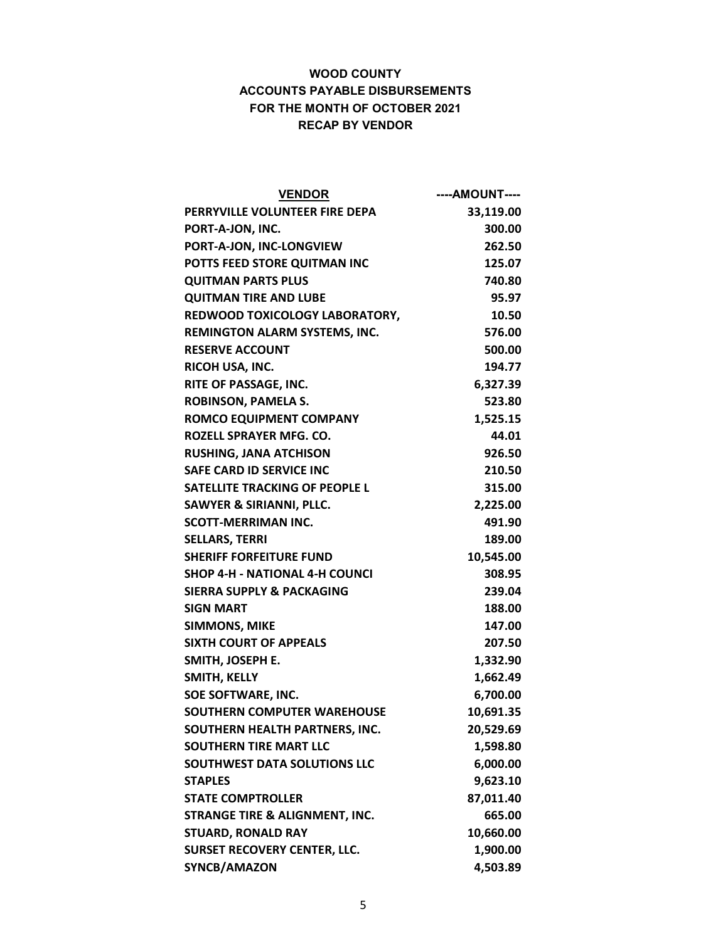| <b>VENDOR</b>                             | ----AMOUNT---- |
|-------------------------------------------|----------------|
| PERRYVILLE VOLUNTEER FIRE DEPA            | 33,119.00      |
| PORT-A-JON, INC.                          | 300.00         |
| PORT-A-JON, INC-LONGVIEW                  | 262.50         |
| POTTS FEED STORE QUITMAN INC              | 125.07         |
| <b>QUITMAN PARTS PLUS</b>                 | 740.80         |
| <b>QUITMAN TIRE AND LUBE</b>              | 95.97          |
| REDWOOD TOXICOLOGY LABORATORY,            | 10.50          |
| REMINGTON ALARM SYSTEMS, INC.             | 576.00         |
| <b>RESERVE ACCOUNT</b>                    | 500.00         |
| RICOH USA, INC.                           | 194.77         |
| RITE OF PASSAGE, INC.                     | 6,327.39       |
| <b>ROBINSON, PAMELA S.</b>                | 523.80         |
| <b>ROMCO EQUIPMENT COMPANY</b>            | 1,525.15       |
| ROZELL SPRAYER MFG. CO.                   | 44.01          |
| <b>RUSHING, JANA ATCHISON</b>             | 926.50         |
| <b>SAFE CARD ID SERVICE INC</b>           | 210.50         |
| <b>SATELLITE TRACKING OF PEOPLE L</b>     | 315.00         |
| <b>SAWYER &amp; SIRIANNI, PLLC.</b>       | 2,225.00       |
| <b>SCOTT-MERRIMAN INC.</b>                | 491.90         |
| <b>SELLARS, TERRI</b>                     | 189.00         |
| <b>SHERIFF FORFEITURE FUND</b>            | 10,545.00      |
| <b>SHOP 4-H - NATIONAL 4-H COUNCI</b>     | 308.95         |
| <b>SIERRA SUPPLY &amp; PACKAGING</b>      | 239.04         |
| <b>SIGN MART</b>                          | 188.00         |
| <b>SIMMONS, MIKE</b>                      | 147.00         |
| <b>SIXTH COURT OF APPEALS</b>             | 207.50         |
| SMITH, JOSEPH E.                          | 1,332.90       |
| SMITH, KELLY                              | 1,662.49       |
| SOE SOFTWARE, INC.                        | 6,700.00       |
| <b>SOUTHERN COMPUTER WAREHOUSE</b>        | 10,691.35      |
| SOUTHERN HEALTH PARTNERS, INC.            | 20,529.69      |
| <b>SOUTHERN TIRE MART LLC</b>             | 1,598.80       |
| <b>SOUTHWEST DATA SOLUTIONS LLC</b>       | 6,000.00       |
| <b>STAPLES</b>                            | 9,623.10       |
| <b>STATE COMPTROLLER</b>                  | 87,011.40      |
| <b>STRANGE TIRE &amp; ALIGNMENT, INC.</b> | 665.00         |
| <b>STUARD, RONALD RAY</b>                 | 10,660.00      |
| <b>SURSET RECOVERY CENTER, LLC.</b>       | 1,900.00       |
| SYNCB/AMAZON                              | 4,503.89       |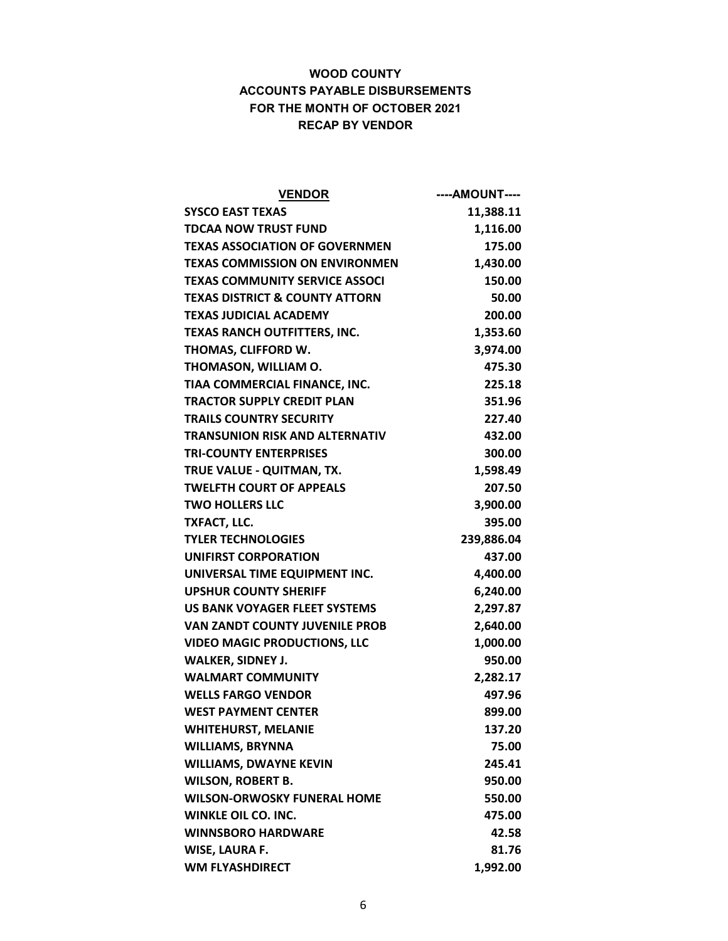| <b>VENDOR</b>                             | ----AMOUNT---- |
|-------------------------------------------|----------------|
| <b>SYSCO EAST TEXAS</b>                   | 11,388.11      |
| <b>TDCAA NOW TRUST FUND</b>               | 1,116.00       |
| <b>TEXAS ASSOCIATION OF GOVERNMEN</b>     | 175.00         |
| <b>TEXAS COMMISSION ON ENVIRONMEN</b>     | 1,430.00       |
| TEXAS COMMUNITY SERVICE ASSOCI            | 150.00         |
| <b>TEXAS DISTRICT &amp; COUNTY ATTORN</b> | 50.00          |
| <b>TEXAS JUDICIAL ACADEMY</b>             | 200.00         |
| <b>TEXAS RANCH OUTFITTERS, INC.</b>       | 1,353.60       |
| THOMAS, CLIFFORD W.                       | 3,974.00       |
| THOMASON, WILLIAM O.                      | 475.30         |
| TIAA COMMERCIAL FINANCE, INC.             | 225.18         |
| <b>TRACTOR SUPPLY CREDIT PLAN</b>         | 351.96         |
| <b>TRAILS COUNTRY SECURITY</b>            | 227.40         |
| <b>TRANSUNION RISK AND ALTERNATIV</b>     | 432.00         |
| <b>TRI-COUNTY ENTERPRISES</b>             | 300.00         |
| TRUE VALUE - QUITMAN, TX.                 | 1,598.49       |
| <b>TWELFTH COURT OF APPEALS</b>           | 207.50         |
| <b>TWO HOLLERS LLC</b>                    | 3,900.00       |
| <b>TXFACT, LLC.</b>                       | 395.00         |
| <b>TYLER TECHNOLOGIES</b>                 | 239,886.04     |
| <b>UNIFIRST CORPORATION</b>               | 437.00         |
| UNIVERSAL TIME EQUIPMENT INC.             | 4,400.00       |
| <b>UPSHUR COUNTY SHERIFF</b>              | 6,240.00       |
| US BANK VOYAGER FLEET SYSTEMS             | 2,297.87       |
| <b>VAN ZANDT COUNTY JUVENILE PROB</b>     | 2,640.00       |
| <b>VIDEO MAGIC PRODUCTIONS, LLC</b>       | 1,000.00       |
| <b>WALKER, SIDNEY J.</b>                  | 950.00         |
| <b>WALMART COMMUNITY</b>                  | 2,282.17       |
| <b>WELLS FARGO VENDOR</b>                 | 497.96         |
| <b>WEST PAYMENT CENTER</b>                | 899.00         |
| <b>WHITEHURST, MELANIE</b>                | 137.20         |
| <b>WILLIAMS, BRYNNA</b>                   | 75.00          |
| <b>WILLIAMS, DWAYNE KEVIN</b>             | 245.41         |
| <b>WILSON, ROBERT B.</b>                  | 950.00         |
| <b>WILSON-ORWOSKY FUNERAL HOME</b>        | 550.00         |
| <b>WINKLE OIL CO. INC.</b>                | 475.00         |
| <b>WINNSBORO HARDWARE</b>                 | 42.58          |
| WISE, LAURA F.                            | 81.76          |
| <b>WM FLYASHDIRECT</b>                    | 1,992.00       |